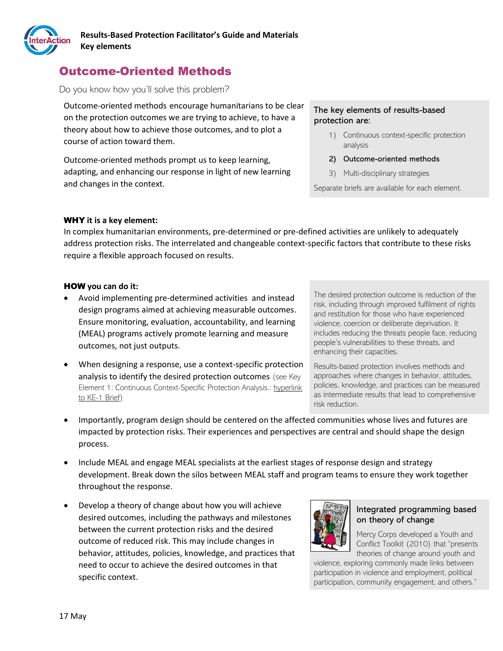

# Outcome-Oriented Methods

#### Do you know how you'll solve this problem?

Outcome-oriented methods encourage humanitarians to be clear on the protection outcomes we are trying to achieve, to have a theory about how to achieve those outcomes, and to plot a course of action toward them.

Outcome-oriented methods prompt us to keep learning, adapting, and enhancing our response in light of new learning and changes in the context.

#### The key elements of results-based protection are:

- 1) Continuous context-specific protection analysis
- 2) Outcome-oriented methods
- 3) Multi-disciplinary strategies

Separate briefs are available for each element.

#### WHY **it is a key element:**

In complex humanitarian environments, pre-determined or pre-defined activities are unlikely to adequately address protection risks. The interrelated and changeable context-specific factors that contribute to these risks require a flexible approach focused on results.

#### HOW **you can do it:**

- Avoid implementing pre-determined activities and instead design programs aimed at achieving measurable outcomes. Ensure monitoring, evaluation, accountability, and learning (MEAL) programs actively promote learning and measure outcomes, not just outputs.
- When designing a response, use a context-specific protection analysis to identify the desired protection outcomes (see Key Element 1: Continuous Context-Specific Protection Analysis.: hyperlink to KE-1 Brief)

The desired protection outcome is reduction of the risk, including through improved fulfilment of rights and restitution for those who have experienced violence, coercion or deliberate deprivation. It includes reducing the threats people face, reducing people's vulnerabilities to these threats, and enhancing their capacities.

Results-based protection involves methods and approaches where changes in behavior, attitudes, policies, knowledge, and practices can be measured as intermediate results that lead to comprehensive risk reduction.

- Importantly, program design should be centered on the affected communities whose lives and futures are impacted by protection risks. Their experiences and perspectives are central and should shape the design process.
- Include MEAL and engage MEAL specialists at the earliest stages of response design and strategy development. Break down the silos between MEAL staff and program teams to ensure they work together throughout the response.
- Develop a theory of change about how you will achieve desired outcomes, including the pathways and milestones between the current protection risks and the desired outcome of reduced risk. This may include changes in behavior, attitudes, policies, knowledge, and practices that need to occur to achieve the desired outcomes in that specific context.



#### Integrated programming based on theory of change

Mercy Corps developed a Youth and Conflict Toolkit (2010) that "presents theories of change around youth and

violence, exploring commonly made links between participation in violence and employment, political participation, community engagement, and others."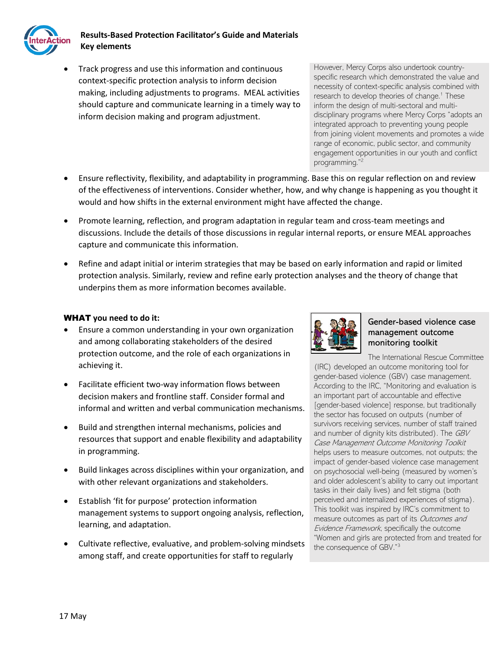

## **Results-Based Protection Facilitator's Guide and Materials Key elements**

• Track progress and use this information and continuous context-specific protection analysis to inform decision making, including adjustments to programs. MEAL activities should capture and communicate learning in a timely way to inform decision making and program adjustment.

However, Mercy Corps also undertook countryspecific research which demonstrated the value and necessity of context-specific analysis combined with research to develop theories of change.<sup>1</sup> These inform the design of multi-sectoral and multidisciplinary programs where Mercy Corps "adopts an integrated approach to preventing young people from joining violent movements and promotes a wide range of economic, public sector, and community engagement opportunities in our youth and conflict programming." 2

- Ensure reflectivity, flexibility, and adaptability in programming. Base this on regular reflection on and review of the effectiveness of interventions. Consider whether, how, and why change is happening as you thought it would and how shifts in the external environment might have affected the change.
- Promote learning, reflection, and program adaptation in regular team and cross-team meetings and discussions. Include the details of those discussions in regular internal reports, or ensure MEAL approaches capture and communicate this information.
- Refine and adapt initial or interim strategies that may be based on early information and rapid or limited protection analysis. Similarly, review and refine early protection analyses and the theory of change that underpins them as more information becomes available.

### WHAT **you need to do it:**

- Ensure a common understanding in your own organization and among collaborating stakeholders of the desired protection outcome, and the role of each organizations in achieving it.
- Facilitate efficient two-way information flows between decision makers and frontline staff. Consider formal and informal and written and verbal communication mechanisms.
- Build and strengthen internal mechanisms, policies and resources that support and enable flexibility and adaptability in programming.
- Build linkages across disciplines within your organization, and with other relevant organizations and stakeholders.
- Establish 'fit for purpose' protection information management systems to support ongoing analysis, reflection, learning, and adaptation.
- Cultivate reflective, evaluative, and problem-solving mindsets among staff, and create opportunities for staff to regularly



#### Gender-based violence case management outcome monitoring toolkit

The International Rescue Committee

(IRC) developed an outcome monitoring tool for gender-based violence (GBV) case management. According to the IRC, "Monitoring and evaluation is an important part of accountable and effective [gender-based violence] response, but traditionally the sector has focused on outputs (number of survivors receiving services, number of staff trained and number of dignity kits distributed). The GBV Case Management Outcome Monitoring Toolkit helps users to measure outcomes, not outputs; the impact of gender-based violence case management on psychosocial well-being (measured by women's and older adolescent's ability to carry out important tasks in their daily lives) and felt stigma (both perceived and internalized experiences of stigma). This toolkit was inspired by IRC's commitment to measure outcomes as part of its Outcomes and Evidence Framework, specifically the outcome "Women and girls are protected from and treated for the consequence of GBV."<sup>3</sup>

17 May